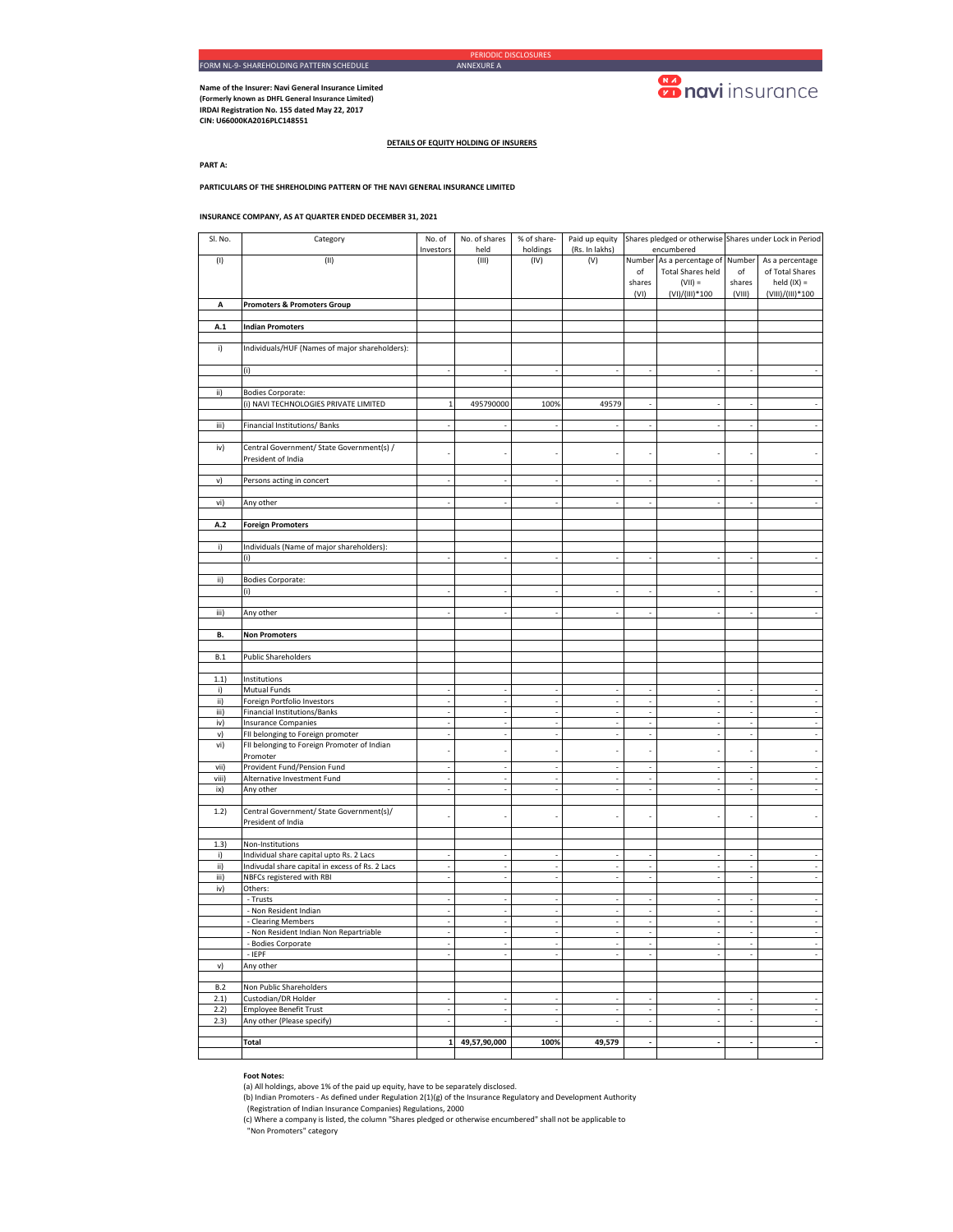**Name of the Insurer: Navi General Insurance Limited (Formerly known as DHFL General Insurance Limited) IRDAI Registration No. 155 dated May 22, 2017 CIN: U66000KA2016PLC148551** 

# **Conduction**

**DETAILS OF EQUITY HOLDING OF INSURERS**

**PART A:**

**PARTICULARS OF THE SHREHOLDING PATTERN OF THE NAVI GENERAL INSURANCE LIMITED**

## **INSURANCE COMPANY, AS AT QUARTER ENDED DECEMBER 31, 2021**

| Sl. No.      | Category                                                          | No. of<br>Investors      | No. of shares<br>held    | % of share-<br>holdings  | (Rs. In lakhs) |                                | Paid up equity Shares pledged or otherwise Shares under Lock in Period<br>encumbered |                          |                          |
|--------------|-------------------------------------------------------------------|--------------------------|--------------------------|--------------------------|----------------|--------------------------------|--------------------------------------------------------------------------------------|--------------------------|--------------------------|
| (1)          | (II)                                                              |                          | (III)                    | (IV)                     | (V)            | Number                         | As a percentage of                                                                   | Number                   | As a percentage          |
|              |                                                                   |                          |                          |                          |                | of                             | <b>Total Shares held</b>                                                             | of                       | of Total Shares          |
|              |                                                                   |                          |                          |                          |                | shares                         | $(VII) =$                                                                            | shares                   | held $(IX) =$            |
| Α            | <b>Promoters &amp; Promoters Group</b>                            |                          |                          |                          |                | (VI)                           | (VI)/(III)*100                                                                       | (VIII)                   | (VIII)/(III)*100         |
|              |                                                                   |                          |                          |                          |                |                                |                                                                                      |                          |                          |
| A.1          | <b>Indian Promoters</b>                                           |                          |                          |                          |                |                                |                                                                                      |                          |                          |
|              |                                                                   |                          |                          |                          |                |                                |                                                                                      |                          |                          |
| i)           | Individuals/HUF (Names of major shareholders):                    |                          |                          |                          |                |                                |                                                                                      |                          |                          |
|              | (i)                                                               | $\overline{\phantom{a}}$ | $\overline{a}$           | $\overline{\phantom{a}}$ |                | $\overline{\phantom{a}}$       |                                                                                      |                          |                          |
|              |                                                                   |                          |                          |                          |                |                                |                                                                                      |                          |                          |
| ii)          | <b>Bodies Corporate:</b><br>(i) NAVI TECHNOLOGIES PRIVATE LIMITED | $\,1\,$                  | 495790000                | 100%                     |                |                                |                                                                                      |                          |                          |
|              |                                                                   |                          |                          |                          | 49579          |                                |                                                                                      |                          |                          |
| iii)         | Financial Institutions/Banks                                      | $\overline{a}$           | J.                       | l,                       |                |                                |                                                                                      |                          |                          |
|              |                                                                   |                          |                          |                          |                |                                |                                                                                      |                          |                          |
| iv)          | Central Government/ State Government(s) /<br>President of India   |                          | $\overline{a}$           | ÷,                       |                |                                |                                                                                      |                          |                          |
|              |                                                                   |                          |                          |                          |                |                                |                                                                                      |                          |                          |
| v)           | Persons acting in concert                                         |                          | J.                       | ÷.                       |                |                                |                                                                                      |                          |                          |
|              |                                                                   |                          |                          |                          |                |                                |                                                                                      |                          |                          |
| vi)          | Any other                                                         | ÷,                       | $\overline{a}$           | ÷,                       |                | $\overline{\phantom{a}}$       |                                                                                      | ÷.                       |                          |
| A.2          | <b>Foreign Promoters</b>                                          |                          |                          |                          |                |                                |                                                                                      |                          |                          |
|              |                                                                   |                          |                          |                          |                |                                |                                                                                      |                          |                          |
| i)           | Individuals (Name of major shareholders):                         |                          |                          |                          |                |                                |                                                                                      |                          |                          |
|              | (i)                                                               |                          |                          |                          |                |                                |                                                                                      |                          |                          |
| ii)          | <b>Bodies Corporate:</b>                                          |                          |                          |                          |                |                                |                                                                                      |                          |                          |
|              | (i)                                                               |                          |                          |                          |                |                                |                                                                                      |                          |                          |
|              |                                                                   |                          |                          |                          |                |                                |                                                                                      |                          |                          |
| iii)         | Any other                                                         |                          |                          |                          |                |                                |                                                                                      |                          |                          |
| В.           | <b>Non Promoters</b>                                              |                          |                          |                          |                |                                |                                                                                      |                          |                          |
|              |                                                                   |                          |                          |                          |                |                                |                                                                                      |                          |                          |
| B.1          | <b>Public Shareholders</b>                                        |                          |                          |                          |                |                                |                                                                                      |                          |                          |
| 1.1)         | Institutions                                                      |                          |                          |                          |                |                                |                                                                                      |                          |                          |
| i)           | Mutual Funds                                                      | ÷,                       | $\overline{\phantom{a}}$ | $\sim$                   | ÷,             | ÷,                             |                                                                                      | ÷,                       |                          |
| ii)          | Foreign Portfolio Investors                                       |                          | ÷,                       | ÷,                       |                |                                |                                                                                      |                          |                          |
| iii)         | Financial Institutions/Banks                                      | ÷,<br>$\bar{z}$          | ÷,<br>$\sim$             | ÷,<br>÷.                 | ÷.             | ÷,<br>$\overline{\phantom{a}}$ | ÷,                                                                                   | ÷.                       | ÷,<br>÷.                 |
| iv)<br>v)    | <b>Insurance Companies</b><br>FII belonging to Foreign promoter   |                          | $\overline{\phantom{a}}$ | $\overline{\phantom{a}}$ |                | $\overline{\phantom{a}}$       |                                                                                      |                          | $\overline{a}$           |
| vi)          | FII belonging to Foreign Promoter of Indian                       |                          |                          |                          |                |                                |                                                                                      |                          |                          |
|              | Promoter                                                          |                          |                          |                          |                |                                |                                                                                      |                          |                          |
| vii)         | Provident Fund/Pension Fund                                       | ÷,                       | $\sim$<br>÷,             | ÷,<br>$\sim$             | $\overline{a}$ |                                |                                                                                      | $\sim$                   | ÷,                       |
| viii)<br>ix) | Alternative Investment Fund<br>Any other                          |                          | $\sim$                   | $\sim$                   |                | $\overline{\phantom{a}}$       |                                                                                      |                          |                          |
|              |                                                                   |                          |                          |                          |                |                                |                                                                                      |                          |                          |
| 1.2)         | Central Government/ State Government(s)/                          |                          | J.                       | ł,                       |                |                                |                                                                                      |                          |                          |
|              | President of India                                                |                          |                          |                          |                |                                |                                                                                      |                          |                          |
| 1.3)         | Non-Institutions                                                  |                          |                          |                          |                |                                |                                                                                      |                          |                          |
| i)           | Individual share capital upto Rs. 2 Lacs                          | $\overline{a}$           | ÷,                       | ÷,                       |                | ÷,                             |                                                                                      |                          |                          |
| ii)          | Indivudal share capital in excess of Rs. 2 Lacs                   | ÷,                       | $\overline{\phantom{a}}$ | ÷,                       | ÷,             | $\overline{\phantom{a}}$       |                                                                                      | ÷.                       |                          |
| iii)<br>iv)  | NBFCs registered with RBI<br>Others:                              | J.                       | $\overline{\phantom{a}}$ | $\sim$                   |                | J.                             |                                                                                      |                          |                          |
|              | - Trusts                                                          | ÷,                       | ÷,                       | ÷,                       |                |                                |                                                                                      |                          |                          |
|              | - Non Resident Indian                                             | J.                       | J.                       | J.                       | J.             | J.                             | $\overline{\phantom{a}}$                                                             | ÷.                       |                          |
|              | - Clearing Members                                                | $\mathcal{L}$            | $\Box$                   | ÷                        | $\sim$         | $\bar{z}$                      | $\sim$                                                                               | $\sim$                   | ÷,                       |
|              | - Non Resident Indian Non Repartriable<br>- Bodies Corporate      |                          |                          |                          |                |                                |                                                                                      |                          |                          |
|              | $-$ IEPF                                                          | ÷,                       | $\overline{\phantom{a}}$ | $\overline{\phantom{a}}$ |                |                                |                                                                                      |                          | $\overline{\phantom{a}}$ |
| v)           | Any other                                                         |                          |                          |                          |                |                                |                                                                                      |                          |                          |
|              |                                                                   |                          |                          |                          |                |                                |                                                                                      |                          |                          |
| B.2<br>2.1)  | Non Public Shareholders<br>Custodian/DR Holder                    | $\overline{\phantom{a}}$ | $\sim$                   | $\sim$                   | ÷.             | ÷.                             | $\sim$                                                                               | ÷.                       | ÷.                       |
| 2.2)         | <b>Employee Benefit Trust</b>                                     |                          | $\overline{\phantom{a}}$ | ÷                        |                |                                |                                                                                      |                          | ÷                        |
| 2.3)         | Any other (Please specify)                                        | ÷,                       | $\overline{\phantom{a}}$ | ÷                        |                | ÷,                             |                                                                                      | $\overline{\phantom{a}}$ | $\overline{\phantom{a}}$ |
|              |                                                                   |                          |                          |                          |                |                                |                                                                                      |                          |                          |
|              | Total                                                             | $\mathbf 1$              | 49,57,90,000             | 100%                     | 49,579         | $\blacksquare$                 |                                                                                      | $\overline{\phantom{a}}$ | $\overline{\phantom{a}}$ |

# **Foot Notes:**

(a) All holdings, above 1% of the paid up equity, have to be separately disclosed. (b) Indian Promoters - As defined under Regulation 2(1)(g) of the Insurance Regulatory and Development Authority

(Registration of Indian Insurance Companies) Regulations, 2000 (c) Where a company is listed, the column "Shares pledged or otherwise encumbered" shall not be applicable to "Non Promoters" category